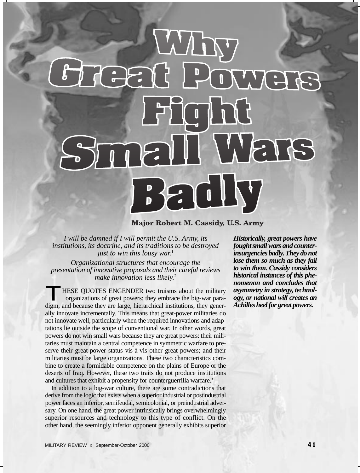# VA WETH  $\sqrt{1}$

# **Major Robert M. Cassidy, U.S. Army**

*I will be damned if I will permit the U.S. Army, its institutions, its doctrine, and its traditions to be destroyed just to win this lousy war.*<sup>1</sup>

*Organizational structures that encourage the presentation of innovative proposals and their careful reviews make innovation less likely.*<sup>2</sup>

**THESE QUOTES ENGENDER two truisms about the military** organizations of great powers: they embrace the big-war paradigm, and because they are large, hierarchical institutions, they generally innovate incrementally. This means that great-power militaries do not innovate well, particularly when the required innovations and adaptations lie outside the scope of conventional war. In other words, great powers do not win small wars because they are great powers: their militaries must maintain a central competence in symmetric warfare to preserve their great-power status vis-à-vis other great powers; and their militaries must be large organizations. These two characteristics combine to create a formidable competence on the plains of Europe or the deserts of Iraq. However, these two traits do not produce institutions and cultures that exhibit a propensity for counterguerrilla warfare.<sup>3</sup>

In addition to a big-war culture, there are some contradictions that derive from the logic that exists when a superior industrial or postindustrial power faces an inferior, semifeudal, semicolonial, or preindustrial adversary. On one hand, the great power intrinsically brings overwhelmingly superior resources and technology to this type of conflict. On the other hand, the seemingly inferior opponent generally exhibits superior

*Historically, great powers have fought small wars and counterinsurgencies badly. They do not lose them so much as they fail to win them. Cassidy considers historical instances of this phenomenon and concludes that asymmetry in strategy, technology, or national will creates an Achilles heel for great powers.*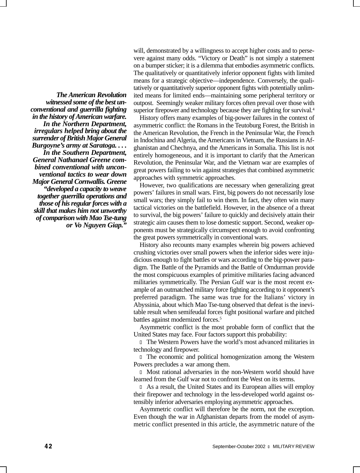*The American Revolution witnessed some of the best unconventional and guerrilla fighting in the history of American warfare. In the Northern Department, irregulars helped bring about the surrender of British Major General Burgoyne's army at Saratoga. . . . In the Southern Department, General Nathanael Greene combined conventional with unconventional tactics to wear down Major General Cornwallis. Greene "developed a capacity to weave together guerrilla operations and those of his regular forces with a skill that makes him not unworthy of comparison with Mao Tse-tung or Vo Nguyen Giap."*

will, demonstrated by a willingness to accept higher costs and to persevere against many odds. "Victory or Death" is not simply a statement on a bumper sticker; it is a dilemma that embodies asymmetric conflicts. The qualitatively or quantitatively inferior opponent fights with limited means for a strategic objective—independence. Conversely, the qualitatively or quantitatively superior opponent fights with potentially unlimited means for limited ends—maintaining some peripheral territory or outpost. Seemingly weaker military forces often prevail over those with superior firepower and technology because they are fighting for survival.<sup>4</sup>

History offers many examples of big-power failures in the context of asymmetric conflict: the Romans in the Teutoburg Forest, the British in the American Revolution, the French in the Peninsular War, the French in Indochina and Algeria, the Americans in Vietnam, the Russians in Afghanistan and Chechnya, and the Americans in Somalia. This list is not entirely homogeneous, and it is important to clarify that the American Revolution, the Peninsular War, and the Vietnam war are examples of great powers failing to win against strategies that combined asymmetric approaches with symmetric approaches.

However, two qualifications are necessary when generalizing great powers' failures in small wars. First, big powers do not necessarily lose small wars; they simply fail to win them. In fact, they often win many tactical victories on the battlefield. However, in the absence of a threat to survival, the big powers' failure to quickly and decisively attain their strategic aim causes them to lose domestic support. Second, weaker opponents must be strategically circumspect enough to avoid confronting the great powers symmetrically in conventional wars.

History also recounts many examples wherein big powers achieved crushing victories over small powers when the inferior sides were injudicious enough to fight battles or wars according to the big-power paradigm. The Battle of the Pyramids and the Battle of Omdurman provide the most conspicuous examples of primitive militaries facing advanced militaries symmetrically. The Persian Gulf war is the most recent example of an outmatched military force fighting according to it opponent's preferred paradigm. The same was true for the Italians' victory in Abyssinia, about which Mao Tse-tung observed that defeat is the inevitable result when semifeudal forces fight positional warfare and pitched battles against modernized forces.<sup>5</sup>

Asymmetric conflict is the most probable form of conflict that the United States may face. Four factors support this probability:

l The Western Powers have the world's most advanced militaries in technology and firepower.

l The economic and political homogenization among the Western Powers precludes a war among them.

l Most rational adversaries in the non-Western world should have learned from the Gulf war not to confront the West on its terms.

l As a result, the United States and its European allies will employ their firepower and technology in the less-developed world against ostensibly inferior adversaries employing asymmetric approaches.

Asymmetric conflict will therefore be the norm, not the exception. Even though the war in Afghanistan departs from the model of asymmetric conflict presented in this article, the asymmetric nature of the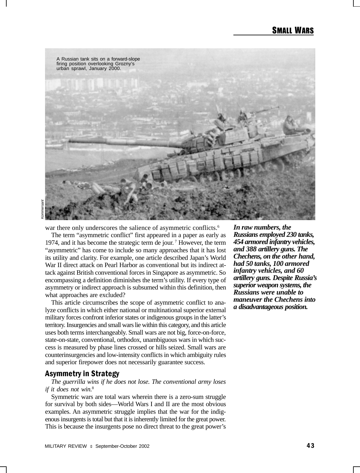

Kommersant

war there only underscores the salience of asymmetric conflicts.<sup>6</sup>

The term "asymmetric conflict" first appeared in a paper as early as 1974, and it has become the strategic term de jour. 7 However, the term "asymmetric" has come to include so many approaches that it has lost its utility and clarity. For example, one article described Japan's World War II direct attack on Pearl Harbor as conventional but its indirect attack against British conventional forces in Singapore as asymmetric. So encompassing a definition diminishes the term's utility. If every type of asymmetry or indirect approach is subsumed within this definition, then what approaches are excluded?

This article circumscribes the scope of asymmetric conflict to analyze conflicts in which either national or multinational superior external military forces confront inferior states or indigenous groups in the latter's territory. Insurgencies and small wars lie within this category, and this article uses both terms interchangeably. Small wars are not big, force-on-force, state-on-state, conventional, orthodox, unambiguous wars in which success is measured by phase lines crossed or hills seized. Small wars are counterinsurgencies and low-intensity conflicts in which ambiguity rules and superior firepower does not necessarily guarantee success.

# Asymmetry in Strategy

*The guerrilla wins if he does not lose. The conventional army loses if it does not win.*<sup>8</sup>

Symmetric wars are total wars wherein there is a zero-sum struggle for survival by both sides—World Wars I and II are the most obvious examples. An asymmetric struggle implies that the war for the indigenous insurgents is total but that it is inherently limited for the great power. This is because the insurgents pose no direct threat to the great power's

*In raw numbers, the Russians employed 230 tanks, 454 armored infantry vehicles, and 388 artillery guns. The Chechens, on the other hand, had 50 tanks, 100 armored infantry vehicles, and 60 artillery guns. Despite Russia's superior weapon systems, the Russians were unable to maneuver the Chechens into a disadvantageous position.*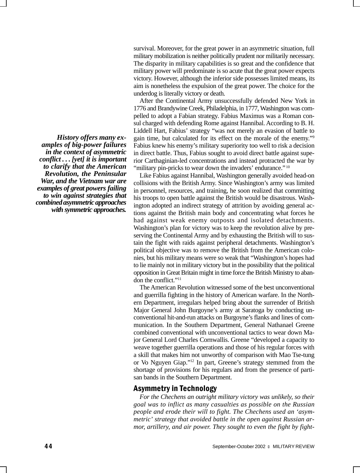*History offers many examples of big-power failures in the context of asymmetric conflict . . . [yet] it is important to clarify that the American Revolution, the Peninsular War, and the Vietnam war are examples of great powers failing to win against strategies that combined asymmetric approaches with symmetric approaches.*

survival. Moreover, for the great power in an asymmetric situation, full military mobilization is neither politically prudent nor militarily necessary. The disparity in military capabilities is so great and the confidence that military power will predominate is so acute that the great power expects victory. However, although the inferior side possesses limited means, its aim is nonetheless the expulsion of the great power. The choice for the underdog is literally victory or death.

After the Continental Army unsuccessfully defended New York in 1776 and Brandywine Creek, Philadelphia, in 1777, Washington was compelled to adopt a Fabian strategy. Fabius Maximus was a Roman consul charged with defending Rome against Hannibal. According to B. H. Liddell Hart, Fabius' strategy "was not merely an evasion of battle to gain time, but calculated for its effect on the morale of the enemy."9 Fabius knew his enemy's military superiority too well to risk a decision in direct battle. Thus, Fabius sought to avoid direct battle against superior Carthaginian-led concentrations and instead protracted the war by "military pin-pricks to wear down the invaders' endurance."<sup>10</sup>

Like Fabius against Hannibal, Washington generally avoided head-on collisions with the British Army. Since Washington's army was limited in personnel, resources, and training, he soon realized that committing his troops to open battle against the British would be disastrous. Washington adopted an indirect strategy of attrition by avoiding general actions against the British main body and concentrating what forces he had against weak enemy outposts and isolated detachments. Washington's plan for victory was to keep the revolution alive by preserving the Continental Army and by exhausting the British will to sustain the fight with raids against peripheral detachments. Washington's political objective was to remove the British from the American colonies, but his military means were so weak that "Washington's hopes had to lie mainly not in military victory but in the possibility that the political opposition in Great Britain might in time force the British Ministry to abandon the conflict."11

The American Revolution witnessed some of the best unconventional and guerrilla fighting in the history of American warfare. In the Northern Department, irregulars helped bring about the surrender of British Major General John Burgoyne's army at Saratoga by conducting unconventional hit-and-run attacks on Burgoyne's flanks and lines of communication. In the Southern Department, General Nathanael Greene combined conventional with unconventional tactics to wear down Major General Lord Charles Cornwallis. Greene "developed a capacity to weave together guerrilla operations and those of his regular forces with a skill that makes him not unworthy of comparison with Mao Tse-tung or Vo Nguyen Giap."12 In part, Greene's strategy stemmed from the shortage of provisions for his regulars and from the presence of partisan bands in the Southern Department.

# Asymmetry in Technology

*For the Chechens an outright military victory was unlikely, so their goal was to inflict as many casualties as possible on the Russian people and erode their will to fight. The Chechens used an 'asymmetric' strategy that avoided battle in the open against Russian armor, artillery, and air power. They sought to even the fight by fight-*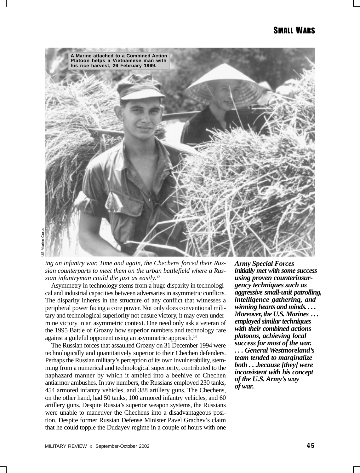

*ing an infantry war. Time and again, the Chechens forced their Russian counterparts to meet them on the urban battlefield where a Russian infantryman could die just as easily.*<sup>13</sup>

Asymmetry in technology stems from a huge disparity in technological and industrial capacities between adversaries in asymmetric conflicts. The disparity inheres in the structure of any conflict that witnesses a peripheral power facing a core power. Not only does conventional military and technological superiority not ensure victory, it may even undermine victory in an asymmetric context. One need only ask a veteran of the 1995 Battle of Grozny how superior numbers and technology fare against a guileful opponent using an asymmetric approach.<sup>14</sup>

The Russian forces that assaulted Grozny on 31 December 1994 were technologically and quantitatively superior to their Chechen defenders. Perhaps the Russian military's perception of its own invulnerability, stemming from a numerical and technological superiority, contributed to the haphazard manner by which it ambled into a beehive of Chechen antiarmor ambushes. In raw numbers, the Russians employed 230 tanks, 454 armored infantry vehicles, and 388 artillery guns. The Chechens, on the other hand, had 50 tanks, 100 armored infantry vehicles, and 60 artillery guns. Despite Russia's superior weapon systems, the Russians were unable to maneuver the Chechens into a disadvantageous position. Despite former Russian Defense Minister Pavel Grachev's claim that he could topple the Dudayev regime in a couple of hours with one *Army Special Forces initially met with some success using proven counterinsurgency techniques such as aggressive small-unit patrolling, intelligence gathering, and winning hearts and minds. . . . Moreover, the U.S. Marines . . . employed similar techniques with their combined actions platoons, achieving local success for most of the war. . . . General Westmoreland's team tended to marginalize both . . .because [they] were inconsistent with his concept of the U.S. Army's way of war.*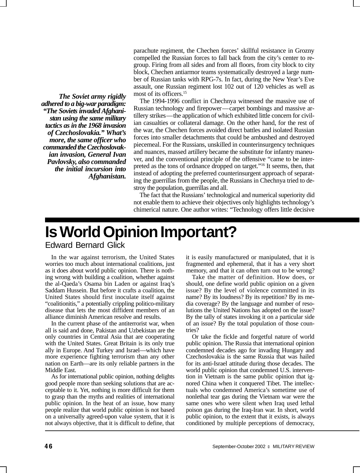*The Soviet army rigidly adhered to a big-war paradigm: "The Soviets invaded Afghanistan using the same military tactics as in the 1968 invasion of Czechoslovakia." What's more, the same officer who commanded the Czechoslovakian invasion, General Ivan Pavlovsky, also commanded the initial incursion into Afghanistan.* parachute regiment, the Chechen forces' skillful resistance in Grozny compelled the Russian forces to fall back from the city's center to regroup. Firing from all sides and from all floors, from city block to city block, Chechen antiarmor teams systematically destroyed a large number of Russian tanks with RPG-7s. In fact, during the New Year's Eve assault, one Russian regiment lost 102 out of 120 vehicles as well as most of its officers.<sup>15</sup>

The 1994-1996 conflict in Chechnya witnessed the massive use of Russian technology and firepower—carpet bombings and massive artillery strikes—the application of which exhibited little concern for civilian casualties or collateral damage. On the other hand, for the rest of the war, the Chechen forces avoided direct battles and isolated Russian forces into smaller detachments that could be ambushed and destroyed piecemeal. For the Russians, unskilled in counterinsurgency techniques and nuances, massed artillery became the substitute for infantry maneuver, and the conventional principle of the offensive "came to be interpreted as the tons of ordnance dropped on target."16 It seems, then, that instead of adopting the preferred counterinsurgent approach of separating the guerrillas from the people, the Russians in Chechnya tried to destroy the population, guerrillas and all.

The fact that the Russians' technological and numerical superiority did not enable them to achieve their objectives only highlights technology's chimerical nature. One author writes: "Technology offers little decisive

# **Is World Opinion Important?** Edward Bernard Glick

In the war against terrorism, the United States worries too much about international coalitions, just as it does about world public opinion. There is nothing wrong with building a coalition, whether against the al-Qaeda's Osama bin Laden or against Iraq's Saddam Hussein. But before it crafts a coalition, the United States should first inoculate itself against "coalitionitis," a potentially crippling politico-military disease that lets the most diffident members of an alliance diminish American resolve and results.

In the current phase of the antiterrorist war, when all is said and done, Pakistan and Uzbekistan are the only countries in Central Asia that are cooperating with the United States. Great Britain is its only true ally in Europe. And Turkey and Israel—which have more experience fighting terrorism than any other nation on Earth—are its only reliable partners in the Middle East.

As for international public opinion, nothing delights good people more than seeking solutions that are acceptable to it. Yet, nothing is more difficult for them to grasp than the myths and realities of international public opinion. In the heat of an issue, how many people realize that world public opinion is not based on a universally agreed-upon value system, that it is not always objective, that it is difficult to define, that

it is easily manufactured or manipulated, that it is fragmented and ephemeral, that it has a very short memory, and that it can often turn out to be wrong?

Take the matter of definition. How does, or should, one define world public opinion on a given issue? By the level of violence committed in its name? By its loudness? By its repetition? By its media coverage? By the language and number of resolutions the United Nations has adopted on the issue? By the tally of states invoking it on a particular side of an issue? By the total population of those countries?

Or take the fickle and forgetful nature of world public opinion. The Russia that international opinion condemned decades ago for invading Hungary and Czechoslovakia is the same Russia that was hailed for its anti-Israel attitude during those decades. The world public opinion that condemned U.S. intervention in Vietnam is the same public opinion that ignored China when it conquered Tibet. The intellectuals who condemned America's sometime use of nonlethal tear gas during the Vietnam war were the same ones who were silent when Iraq used lethal poison gas during the Iraq-Iran war. In short, world public opinion, to the extent that it exists, is always conditioned by multiple perceptions of democracy,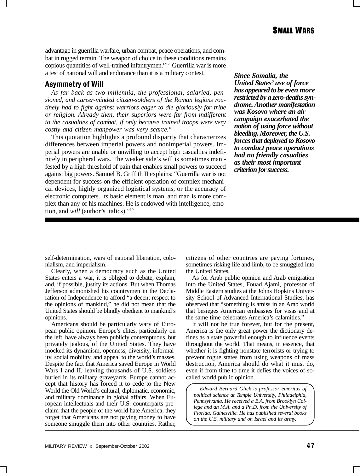advantage in guerrilla warfare, urban combat, peace operations, and combat in rugged terrain. The weapon of choice in these conditions remains copious quantities of well-trained infantrymen."17 Guerrilla war is more a test of national will and endurance than it is a military contest.

# Asymmetry of Will

*As far back as two millennia, the professional, salaried, pensioned, and career-minded citizen-soldiers of the Roman legions routinely had to fight against warriors eager to die gloriously for tribe or religion. Already then, their superiors were far from indifferent to the casualties of combat, if only because trained troops were very costly and citizen manpower was very scarce.*<sup>18</sup>

This quotation highlights a profound disparity that characterizes differences between imperial powers and nonimperial powers. Imperial powers are unable or unwilling to accept high casualties indefinitely in peripheral wars. The weaker side's will is sometimes manifested by a high threshold of pain that enables small powers to succeed against big powers. Samuel B. Griffith II explains: "Guerrilla war is not dependent for success on the efficient operation of complex mechanical devices, highly organized logistical systems, or the accuracy of electronic computers. Its basic element is man, and man is more complex than any of his machines. He is endowed with intelligence, emotion, and *will* (author's italics)."19

*Since Somalia, the United States' use of force has appeared to be even more restricted by a zero-deaths syndrome. Another manifestation was Kosovo where an air campaign exacerbated the notion of using force without bleeding. Moreover, the U.S. forces that deployed to Kosovo to conduct peace operations had no friendly casualties as their most important criterion for success.*

self-determination, wars of national liberation, colonialism, and imperialism.

Clearly, when a democracy such as the United States enters a war, it is obliged to debate, explain, and, if possible, justify its actions. But when Thomas Jefferson admonished his countrymen in the Declaration of Independence to afford "a decent respect to the opinions of mankind," he did not mean that the United States should be blindly obedient to mankind's opinions.

Americans should be particularly wary of European public opinion. Europe's elites, particularly on the left, have always been publicly contemptuous, but privately jealous, of the United States. They have mocked its dynamism, openness, diversity, informality, social mobility, and appeal to the world's masses. Despite the fact that America saved Europe in World Wars I and II, leaving thousands of U.S. soldiers buried in its military graveyards, Europe cannot accept that history has forced it to cede to the New World the Old World's cultural, diplomatic, economic, and military dominance in global affairs. When European intellectuals and their U.S. counterparts proclaim that the people of the world hate America, they forget that Americans are not paying money to have someone smuggle them into other countries. Rather, citizens of other countries are paying fortunes, sometimes risking life and limb, to be smuggled into the United States.

As for Arab public opinion and Arab emigration into the United States, Fouad Ajami, professor of Middle Eastern studies at the Johns Hopkins University School of Advanced International Studies, has observed that "something is amiss in an Arab world that besieges American embassies for visas and at the same time celebrates America's calamities."

It will not be true forever, but for the present, America is the only great power the dictionary defines as a state powerful enough to influence events throughout the world. That means, in essence, that whether it is fighting nonstate terrorists or trying to prevent rogue states from using weapons of mass destruction, America should do what it must do, even if from time to time it defies the voices of socalled world public opinion.

*Edward Bernard Glick is professor emeritus of political science at Temple University, Philadelphia, Pennsylvania. He received a B.A. from Brooklyn College and an M.A. and a Ph.D. from the University of Florida, Gainesville. He has published several books on the U.S. military and on Israel and its army.*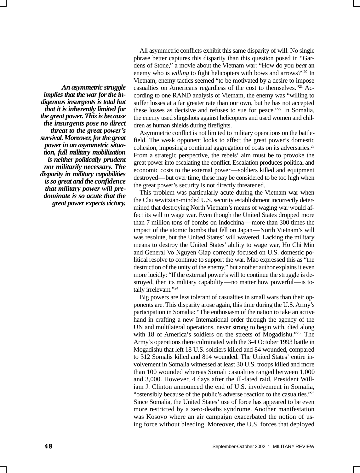*An asymmetric struggle implies that the war for the indigenous insurgents is total but that it is inherently limited for the great power. This is because the insurgents pose no direct threat to the great power's survival. Moreover, for the great power in an asymmetric situation, full military mobilization is neither politically prudent nor militarily necessary. The disparity in military capabilities is so great and the confidence that military power will predominate is so acute that the great power expects victory.*

All asymmetric conflicts exhibit this same disparity of will. No single phrase better captures this disparity than this question posed in "Gardens of Stone," a movie about the Vietnam war: "How do you *beat* an enemy who is *willing* to fight helicopters with bows and arrows?"<sup>20</sup> In Vietnam, enemy tactics seemed "to be motivated by a desire to impose casualties on Americans regardless of the cost to themselves."21 According to one RAND analysis of Vietnam, the enemy was "willing to suffer losses at a far greater rate than our own, but he has not accepted these losses as decisive and refuses to sue for peace."22 In Somalia, the enemy used slingshots against helicopters and used women and children as human shields during firefights.

Asymmetric conflict is not limited to military operations on the battlefield. The weak opponent looks to affect the great power's domestic cohesion, imposing a continual aggregation of costs on its adversaries.23 From a strategic perspective, the rebels' aim must be to provoke the great power into escalating the conflict. Escalation produces political and economic costs to the external power—soldiers killed and equipment destroyed—but over time, these may be considered to be too high when the great power's security is not directly threatened.

This problem was particularly acute during the Vietnam war when the Clausewitzian-minded U.S. security establishment incorrectly determined that destroying North Vietnam's means of waging war would affect its will to wage war. Even though the United States dropped more than 7 million tons of bombs on Indochina—more than 300 times the impact of the atomic bombs that fell on Japan—North Vietnam's will was resolute, but the United States' will wavered. Lacking the military means to destroy the United States' ability to wage war, Ho Chi Min and General Vo Nguyen Giap correctly focused on U.S. domestic political resolve to continue to support the war. Mao expressed this as "the destruction of the unity of the enemy," but another author explains it even more lucidly: "If the external power's will to continue the struggle is destroyed, then its military capability—no matter how powerful—is totally irrelevant."<sup>24</sup>

Big powers are less tolerant of casualties in small wars than their opponents are. This disparity arose again, this time during the U.S. Army's participation in Somalia: "The enthusiasm of the nation to take an active hand in crafting a new International order through the agency of the UN and multilateral operations, never strong to begin with, died along with 18 of America's soldiers on the streets of Mogadishu."25 The Army's operations there culminated with the 3-4 October 1993 battle in Mogadishu that left 18 U.S. soldiers killed and 84 wounded, compared to 312 Somalis killed and 814 wounded. The United States' entire involvement in Somalia witnessed at least 30 U.S. troops killed and more than 100 wounded whereas Somali casualties ranged between 1,000 and 3,000. However, 4 days after the ill-fated raid, President William J. Clinton announced the end of U.S. involvement in Somalia, "ostensibly because of the public's adverse reaction to the casualties."26 Since Somalia, the United States' use of force has appeared to be even more restricted by a zero-deaths syndrome. Another manifestation was Kosovo where an air campaign exacerbated the notion of using force without bleeding. Moreover, the U.S. forces that deployed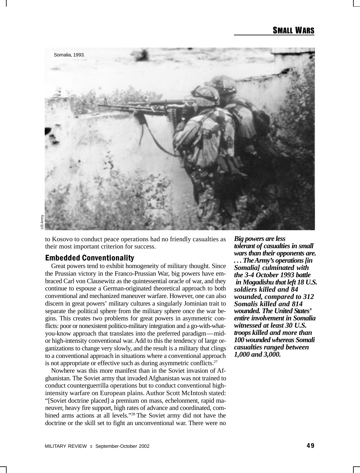

US Army

to Kosovo to conduct peace operations had no friendly casualties as their most important criterion for success.

# Embedded Conventionality

Great powers tend to exhibit homogeneity of military thought. Since the Prussian victory in the Franco-Prussian War, big powers have embraced Carl von Clausewitz as the quintessential oracle of war, and they continue to espouse a German-originated theoretical approach to both conventional and mechanized maneuver warfare. However, one can also discern in great powers' military cultures a singularly Jominian trait to separate the political sphere from the military sphere once the war begins. This creates two problems for great powers in asymmetric conflicts: poor or nonexistent politico-military integration and a go-with-whatyou-know approach that translates into the preferred paradigm—midor high-intensity conventional war. Add to this the tendency of large organizations to change very slowly, and the result is a military that clings to a conventional approach in situations where a conventional approach is not appropriate or effective such as during asymmetric conflicts. $27$ 

Nowhere was this more manifest than in the Soviet invasion of Afghanistan. The Soviet army that invaded Afghanistan was not trained to conduct counterguerrilla operations but to conduct conventional highintensity warfare on European plains. Author Scott McIntosh stated: "[Soviet doctrine placed] a premium on mass, echelonment, rapid maneuver, heavy fire support, high rates of advance and coordinated, combined arms actions at all levels."28 The Soviet army did not have the doctrine or the skill set to fight an unconventional war. There were no

*Big powers are less tolerant of casualties in small wars than their opponents are. . . . The Army's operations [in Somalia] culminated with the 3-4 October 1993 battle in Mogadishu that left 18 U.S. soldiers killed and 84 wounded, compared to 312 Somalis killed and 814 wounded. The United States' entire involvement in Somalia witnessed at least 30 U.S. troops killed and more than 100 wounded whereas Somali casualties ranged between 1,000 and 3,000.*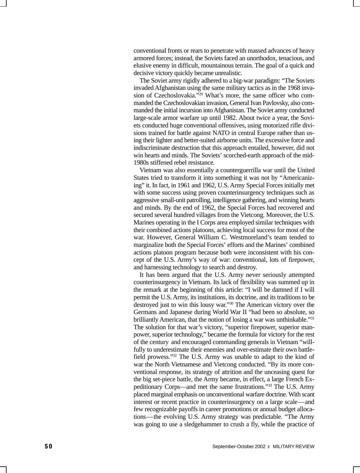conventional fronts or rears to penetrate with massed advances of heavy armored forces; instead, the Soviets faced an unorthodox, tenacious, and elusive enemy in difficult, mountainous terrain. The goal of a quick and decisive victory quickly became unrealistic.

The Soviet army rigidly adhered to a big-war paradigm: "The Soviets invaded Afghanistan using the same military tactics as in the 1968 invasion of Czechoslovakia."29 What's more, the same officer who commanded the Czechoslovakian invasion, General Ivan Pavlovsky, also commanded the initial incursion into Afghanistan. The Soviet army conducted large-scale armor warfare up until 1982. About twice a year, the Soviets conducted huge conventional offensives, using motorized rifle divisions trained for battle against NATO in central Europe rather than using their lighter and better-suited airborne units. The excessive force and indiscriminate destruction that this approach entailed, however, did not win hearts and minds. The Soviets' scorched-earth approach of the mid-1980s stiffened rebel resistance.

Vietnam was also essentially a counterguerrilla war until the United States tried to transform it into something it was not by "Americanizing" it. In fact, in 1961 and 1962, U.S. Army Special Forces initially met with some success using proven counterinsurgency techniques such as aggressive small-unit patrolling, intelligence gathering, and winning hearts and minds. By the end of 1962, the Special Forces had recovered and secured several hundred villages from the Vietcong. Moreover, the U.S. Marines operating in the I Corps area employed similar techniques with their combined actions platoons, achieving local success for most of the war. However, General William C. Westmoreland's team tended to marginalize both the Special Forces' efforts and the Marines' combined actions platoon program because both were inconsistent with his concept of the U.S. Army's way of war: conventional, lots of firepower, and harnessing technology to search and destroy.

It has been argued that the U.S. Army never seriously attempted counterinsurgency in Vietnam. Its lack of flexibility was summed up in the remark at the beginning of this article: "I will be damned if I will permit the U.S. Army, its institutions, its doctrine, and its traditions to be destroyed just to win this lousy war."30 The American victory over the Germans and Japanese during World War II "had been so absolute, so brilliantly American, that the notion of losing a war was unthinkable."<sup>31</sup> The solution for that war's victory, "superior firepower, superior manpower, superior technology," became the formula for victory for the rest of the century and encouraged commanding generals in Vietnam "willfully to underestimate their enemies and over-estimate their own battlefield prowess."32 The U.S. Army was unable to adapt to the kind of war the North Vietnamese and Vietcong conducted. "By its more conventional response, its strategy of attrition and the unceasing quest for the big set-piece battle, the Army became, in effect, a large French Expeditionary Corps—and met the same frustrations."33 The U.S. Army placed marginal emphasis on unconventional warfare doctrine. With scant interest or recent practice in counterinsurgency on a large scale—and few recognizable payoffs in career promotions or annual budget allocations—the evolving U.S. Army strategy was predictable. "The Army was going to use a sledgehammer to crush a fly, while the practice of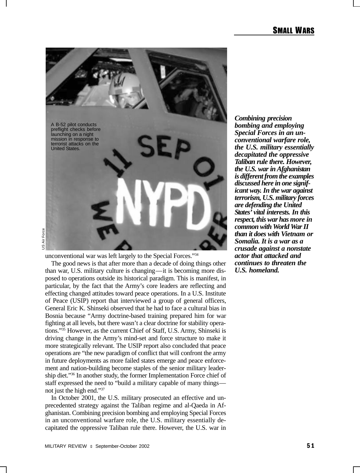

unconventional war was left largely to the Special Forces."34

The good news is that after more than a decade of doing things other than war, U.S. military culture is changing—it is becoming more disposed to operations outside its historical paradigm. This is manifest, in particular, by the fact that the Army's core leaders are reflecting and effecting changed attitudes toward peace operations. In a U.S. Institute of Peace (USIP) report that interviewed a group of general officers, General Eric K. Shinseki observed that he had to face a cultural bias in Bosnia because "Army doctrine-based training prepared him for war fighting at all levels, but there wasn't a clear doctrine for stability operations."35 However, as the current Chief of Staff, U.S. Army, Shinseki is driving change in the Army's mind-set and force structure to make it more strategically relevant. The USIP report also concluded that peace operations are "the new paradigm of conflict that will confront the army in future deployments as more failed states emerge and peace enforcement and nation-building become staples of the senior military leadership diet."36 In another study, the former Implementation Force chief of staff expressed the need to "build a military capable of many things not just the high end."37

In October 2001, the U.S. military prosecuted an effective and unprecedented strategy against the Taliban regime and al-Qaeda in Afghanistan. Combining precision bombing and employing Special Forces in an unconventional warfare role, the U.S. military essentially decapitated the oppressive Taliban rule there. However, the U.S. war in

*Combining precision bombing and employing Special Forces in an unconventional warfare role, the U.S. military essentially decapitated the oppressive Taliban rule there. However, the U.S. war in Afghanistan is different from the examples discussed here in one significant way. In the war against terrorism, U.S. military forces are defending the United States' vital interests. In this respect, this war has more in common with World War II than it does with Vietnam or Somalia. It is a war as a crusade against a nonstate actor that attacked and continues to threaten the U.S. homeland.*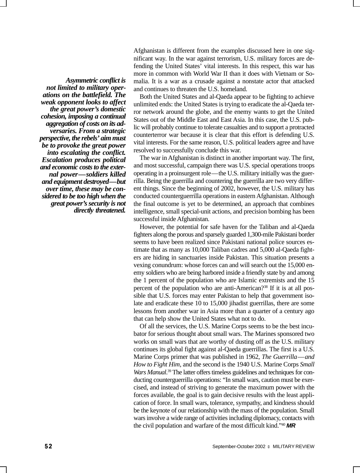*Asymmetric conflict is not limited to military operations on the battlefield. The weak opponent looks to affect the great power's domestic cohesion, imposing a continual aggregation of costs on its adversaries. From a strategic perspective, the rebels' aim must be to provoke the great power into escalating the conflict. Escalation produces political and economic costs to the external power—soldiers killed and equipment destroyed—but over time, these may be considered to be too high when the great power's security is not directly threatened.*

Afghanistan is different from the examples discussed here in one significant way. In the war against terrorism, U.S. military forces are defending the United States' vital interests. In this respect, this war has more in common with World War II than it does with Vietnam or Somalia. It is a war as a crusade against a nonstate actor that attacked and continues to threaten the U.S. homeland.

Both the United States and al-Qaeda appear to be fighting to achieve unlimited ends: the United States is trying to eradicate the al-Qaeda terror network around the globe, and the enemy wants to get the United States out of the Middle East and East Asia. In this case, the U.S. public will probably continue to tolerate casualties and to support a protracted counterterror war because it is clear that this effort is defending U.S. vital interests. For the same reason, U.S. political leaders agree and have resolved to successfully conclude this war.

The war in Afghanistan is distinct in another important way. The first, and most successful, campaign there was U.S. special operations troops operating in a proinsurgent role—the U.S. military initially was the guerrilla. Being the guerrilla and countering the guerrilla are two very different things. Since the beginning of 2002, however, the U.S. military has conducted counterguerrilla operations in eastern Afghanistan. Although the final outcome is yet to be determined, an approach that combines intelligence, small special-unit actions, and precision bombing has been successful inside Afghanistan.

However, the potential for safe haven for the Taliban and al-Qaeda fighters along the porous and sparsely guarded 1,300-mile Pakistani border seems to have been realized since Pakistani national police sources estimate that as many as 10,000 Taliban cadres and 5,000 al-Qaeda fighters are hiding in sanctuaries inside Pakistan. This situation presents a vexing conundrum: whose forces can and will search out the 15,000 enemy soldiers who are being harbored inside a friendly state by and among the 1 percent of the population who are Islamic extremists and the 15 percent of the population who are anti-American?38 If it is at all possible that U.S. forces may enter Pakistan to help that government isolate and eradicate these 10 to 15,000 jihadist guerrillas, there are some lessons from another war in Asia more than a quarter of a century ago that can help show the United States what not to do.

Of all the services, the U.S. Marine Corps seems to be the best incubator for serious thought about small wars. The Marines sponsored two works on small wars that are worthy of dusting off as the U.S. military continues its global fight against al-Qaeda guerrillas. The first is a U.S. Marine Corps primer that was published in 1962, *The Guerrilla*—*and How to Fight Him*, and the second is the 1940 U.S. Marine Corps *Small* Wars Manual.<sup>39</sup> The latter offers timeless guidelines and techniques for conducting counterguerrilla operations: "In small wars, caution must be exercised, and instead of striving to generate the maximum power with the forces available, the goal is to gain decisive results with the least application of force. In small wars, tolerance, sympathy, and kindness should be the keynote of our relationship with the mass of the population. Small wars involve a wide range of activities including diplomacy, contacts with the civil population and warfare of the most difficult kind."40 **MR**